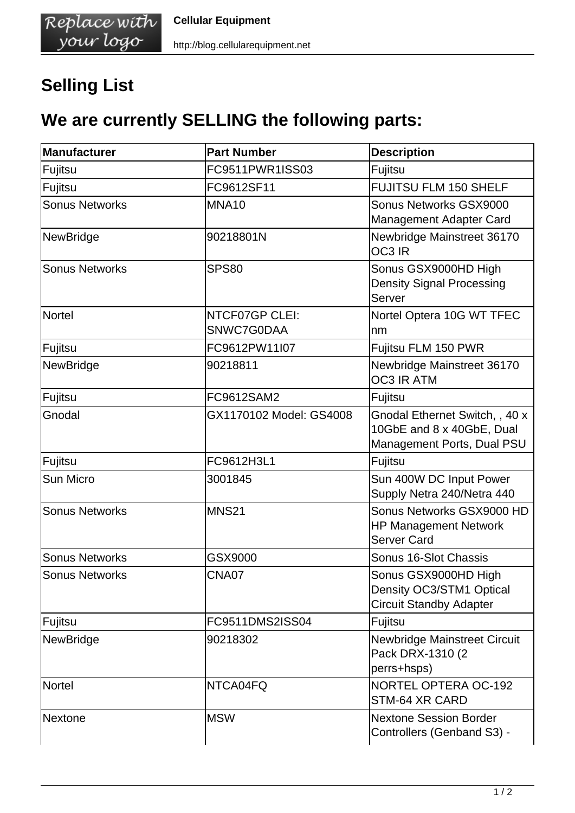## **Selling List**

## **We are currently SELLING the following parts:**

| Manufacturer          | <b>Part Number</b>           | <b>Description</b>                                                                        |
|-----------------------|------------------------------|-------------------------------------------------------------------------------------------|
| Fujitsu               | FC9511PWR1ISS03              | Fujitsu                                                                                   |
| Fujitsu               | FC9612SF11                   | FUJITSU FLM 150 SHELF                                                                     |
| <b>Sonus Networks</b> | MNA10                        | Sonus Networks GSX9000<br>Management Adapter Card                                         |
| <b>NewBridge</b>      | 90218801N                    | Newbridge Mainstreet 36170<br>OC3 IR                                                      |
| <b>Sonus Networks</b> | <b>SPS80</b>                 | Sonus GSX9000HD High<br><b>Density Signal Processing</b><br>Server                        |
| <b>Nortel</b>         | NTCF07GP CLEI:<br>SNWC7G0DAA | Nortel Optera 10G WT TFEC<br>nm                                                           |
| Fujitsu               | FC9612PW11I07                | Fujitsu FLM 150 PWR                                                                       |
| <b>NewBridge</b>      | 90218811                     | Newbridge Mainstreet 36170<br><b>OC3 IR ATM</b>                                           |
| Fujitsu               | FC9612SAM2                   | Fujitsu                                                                                   |
| Gnodal                | GX1170102 Model: GS4008      | Gnodal Ethernet Switch, , 40 x<br>10GbE and 8 x 40GbE, Dual<br>Management Ports, Dual PSU |
| Fujitsu               | FC9612H3L1                   | Fujitsu                                                                                   |
| Sun Micro             | 3001845                      | Sun 400W DC Input Power<br>Supply Netra 240/Netra 440                                     |
| <b>Sonus Networks</b> | <b>MNS21</b>                 | Sonus Networks GSX9000 HD<br><b>HP Management Network</b><br><b>Server Card</b>           |
| <b>Sonus Networks</b> | GSX9000                      | Sonus 16-Slot Chassis                                                                     |
| <b>Sonus Networks</b> | CNA07                        | Sonus GSX9000HD High<br>Density OC3/STM1 Optical<br><b>Circuit Standby Adapter</b>        |
| Fujitsu               | FC9511DMS2ISS04              | Fujitsu                                                                                   |
| NewBridge             | 90218302                     | <b>Newbridge Mainstreet Circuit</b><br>Pack DRX-1310 (2)<br>perrs+hsps)                   |
| <b>Nortel</b>         | NTCA04FQ                     | <b>NORTEL OPTERA OC-192</b><br>STM-64 XR CARD                                             |
| <b>Nextone</b>        | <b>MSW</b>                   | <b>Nextone Session Border</b><br>Controllers (Genband S3) -                               |